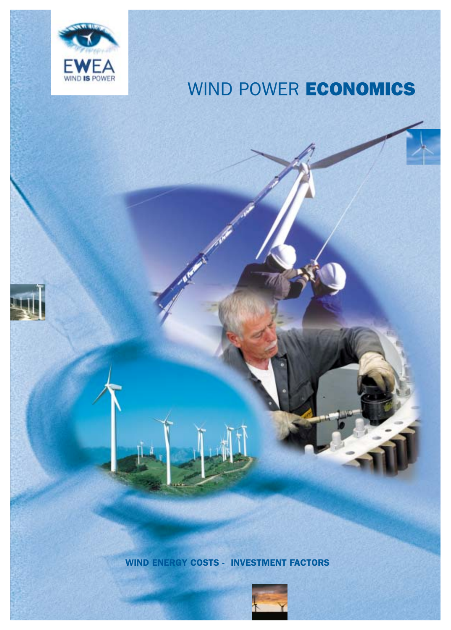

# WIND POWER **ECONOMICS**

WIND ENERGY COSTS - INVESTMENT FACTORS

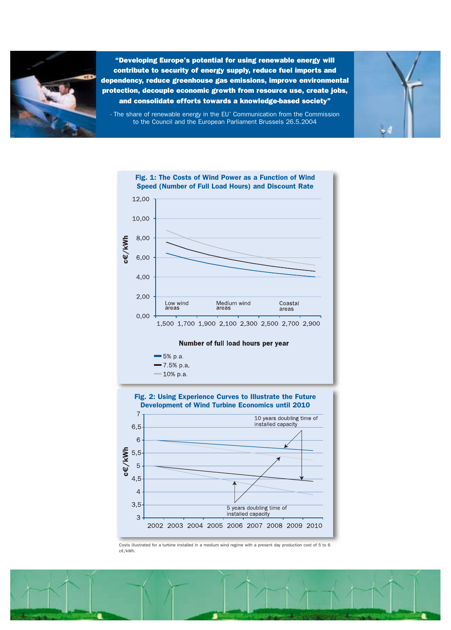

"Developing Europe's potential for using renewable energy will contribute to security of energy supply, reduce fuel imports and dependency, reduce greenhouse gas emissions, improve environmental protection, decouple economic growth from resource use, create jobs, and consolidate efforts towards a knowledge-based society"



- The share of renewable energy in the EU' Communication from the Commission to the Council and the European Parliament Brussels 26.5.2004





Costs illustrated for a turbine installed in a medium wind regime with a present day production cost of 5 to 6 c€/kWh.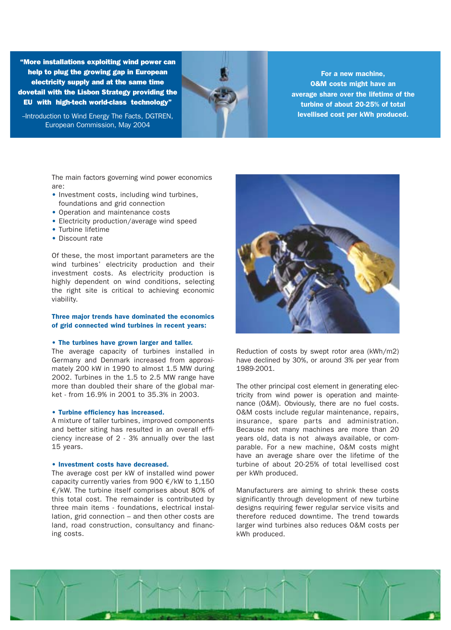"More installations exploiting wind power can help to plug the growing gap in European electricity supply and at the same time dovetail with the Lisbon Strategy providing the EU with high-tech world-class technology"

-Introduction to Wind Energy The Facts, DGTREN, European Commission, May 2004

For a new machine, O&M costs might have an average share over the lifetime of the turbine of about 20-25% of total levellised cost per kWh produced.

The main factors governing wind power economics are:

- Investment costs, including wind turbines, foundations and grid connection
- Operation and maintenance costs
- Electricity production/average wind speed
- Turbine lifetime
- Discount rate

Of these, the most important parameters are the wind turbines' electricity production and their investment costs. As electricity production is highly dependent on wind conditions, selecting the right site is critical to achieving economic viability.

## Three major trends have dominated the economics of grid connected wind turbines in recent years:

### • The turbines have grown larger and taller.

The average capacity of turbines installed in Germany and Denmark increased from approximately 200 kW in 1990 to almost 1.5 MW during 2002. Turbines in the 1.5 to 2.5 MW range have more than doubled their share of the global market - from 16.9% in 2001 to 35.3% in 2003.

### • Turbine efficiency has increased.

A mixture of taller turbines, improved components and better siting has resulted in an overall efficiency increase of 2 - 3% annually over the last 15 years.

### • Investment costs have decreased.

The average cost per kW of installed wind power capacity currently varies from 900  $\epsilon$ /kW to 1,150 €/kW. The turbine itself comprises about 80% of this total cost. The remainder is contributed by three main items - foundations, electrical installation, grid connection – and then other costs are land, road construction, consultancy and financing costs.



Reduction of costs by swept rotor area (kWh/m2) have declined by 30%, or around 3% per year from 1989-2001.

The other principal cost element in generating electricity from wind power is operation and maintenance (O&M). Obviously, there are no fuel costs. O&M costs include regular maintenance, repairs, insurance, spare parts and administration. Because not many machines are more than 20 years old, data is not always available, or comparable. For a new machine, O&M costs might have an average share over the lifetime of the turbine of about 20-25% of total levellised cost per kWh produced.

Manufacturers are aiming to shrink these costs significantly through development of new turbine designs requiring fewer regular service visits and therefore reduced downtime. The trend towards larger wind turbines also reduces O&M costs per kWh produced.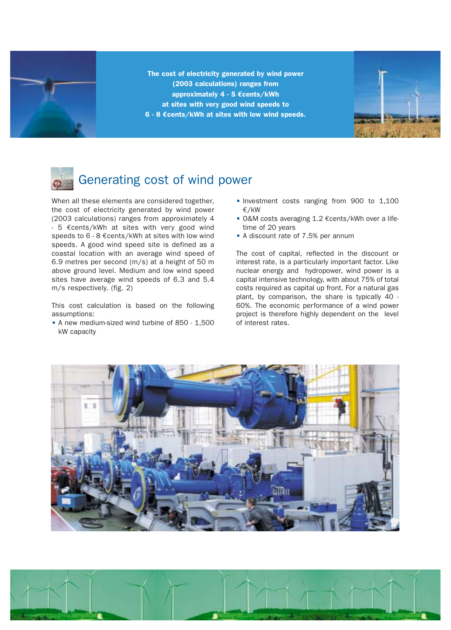

The cost of electricity generated by wind power (2003 calculations) ranges from approximately 4 - 5 **€**cents/kWh at sites with very good wind speeds to 6 - 8 **€**cents/kWh at sites with low wind speeds.



# Generating cost of wind power

When all these elements are considered together, the cost of electricity generated by wind power (2003 calculations) ranges from approximately 4  $-5$   $\epsilon$  cents/kWh at sites with very good wind speeds to 6 - 8 €cents/kWh at sites with low wind speeds. A good wind speed site is defined as a coastal location with an average wind speed of 6.9 metres per second (m/s) at a height of 50 m above ground level. Medium and low wind speed sites have average wind speeds of 6.3 and 5.4 m/s respectively. (fig. 2)

This cost calculation is based on the following assumptions:

• A new medium-sized wind turbine of 850 - 1,500 kW capacity

- Investment costs ranging from 900 to 1,100 €/kW
- O&M costs averaging 1.2 €cents/kWh over a lifetime of 20 years
- A discount rate of 7.5% per annum

The cost of capital, reflected in the discount or interest rate, is a particularly important factor. Like nuclear energy and hydropower, wind power is a capital intensive technology, with about 75% of total costs required as capital up front. For a natural gas plant, by comparison, the share is typically 40 - 60%. The economic performance of a wind power project is therefore highly dependent on the level of interest rates.



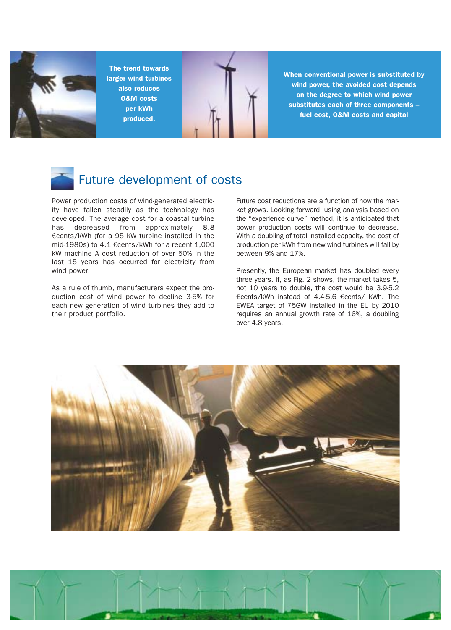

The trend towards larger wind turbines also reduces O&M costs per kWh produced.



When conventional power is substituted by wind power, the avoided cost depends on the degree to which wind power substitutes each of three components – fuel cost, O&M costs and capital



## Future development of costs

Power production costs of wind-generated electricity have fallen steadily as the technology has developed. The average cost for a coastal turbine has decreased from approximately 8.8 €cents/kWh (for a 95 kW turbine installed in the mid-1980s) to 4.1 €cents/kWh for a recent 1,000 kW machine A cost reduction of over 50% in the last 15 years has occurred for electricity from wind power.

As a rule of thumb, manufacturers expect the production cost of wind power to decline 3-5% for each new generation of wind turbines they add to their product portfolio.

Future cost reductions are a function of how the market grows. Looking forward, using analysis based on the "experience curve" method, it is anticipated that power production costs will continue to decrease. With a doubling of total installed capacity, the cost of production per kWh from new wind turbines will fall by between 9% and 17%.

Presently, the European market has doubled every three years. If, as Fig. 2 shows, the market takes 5, not 10 years to double, the cost would be 3.9-5.2 €cents/kWh instead of 4.4-5.6 €cents/ kWh. The EWEA target of 75GW installed in the EU by 2010 requires an annual growth rate of 16%, a doubling over 4.8 years.



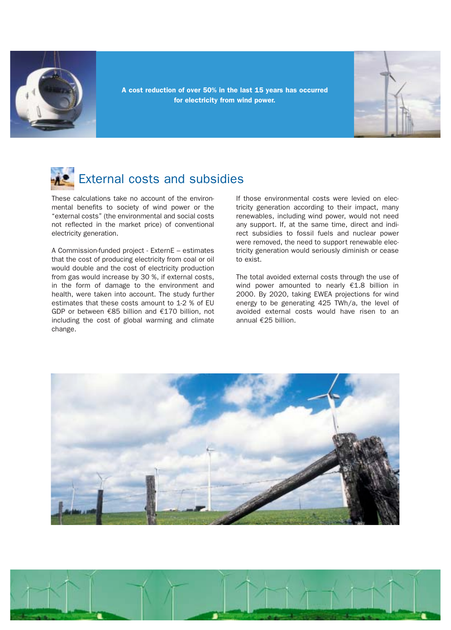

A cost reduction of over 50% in the last 15 years has occurred for electricity from wind power.



# External costs and subsidies

These calculations take no account of the environmental benefits to society of wind power or the "external costs" (the environmental and social costs not reflected in the market price) of conventional electricity generation.

A Commission-funded project - ExternE – estimates that the cost of producing electricity from coal or oil would double and the cost of electricity production from gas would increase by 30 %, if external costs, in the form of damage to the environment and health, were taken into account. The study further estimates that these costs amount to 1-2 % of EU GDP or between €85 billion and €170 billion, not including the cost of global warming and climate change.

If those environmental costs were levied on electricity generation according to their impact, many renewables, including wind power, would not need any support. If, at the same time, direct and indirect subsidies to fossil fuels and nuclear power were removed, the need to support renewable electricity generation would seriously diminish or cease to exist.

The total avoided external costs through the use of wind power amounted to nearly  $£1.8$  billion in 2000. By 2020, taking EWEA projections for wind energy to be generating 425 TWh/a, the level of avoided external costs would have risen to an annual €25 billion.



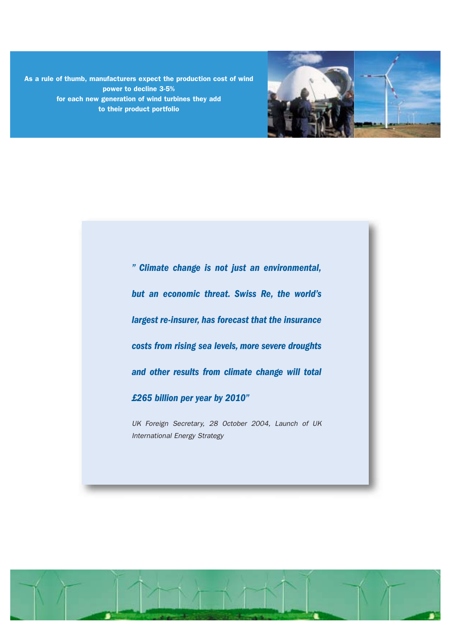As a rule of thumb, manufacturers expect the production cost of wind for each new generation of wind turbines they add power to decline 3-5% to their product portfolio



*" Climate change is not just an environmental, but an economic threat. Swiss Re, the world's largest re-insurer, has forecast that the insurance costs from rising sea levels, more severe droughts and other results from climate change will total £265 billion per year by 2010"*

UK Foreign Secretary, 28 October 2004, Launch of UK International Energy Strategy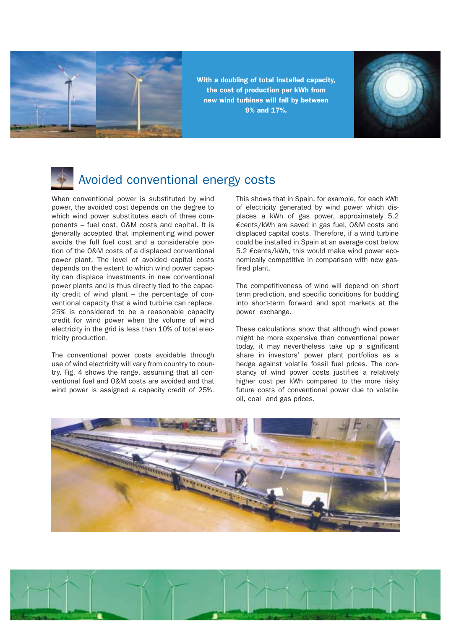

With a doubling of total installed capacity, the cost of production per kWh from new wind turbines will fall by between 9% and 17%.



## Avoided conventional energy costs

When conventional power is substituted by wind power, the avoided cost depends on the degree to which wind power substitutes each of three components – fuel cost, O&M costs and capital. It is generally accepted that implementing wind power avoids the full fuel cost and a considerable portion of the O&M costs of a displaced conventional power plant. The level of avoided capital costs depends on the extent to which wind power capacity can displace investments in new conventional power plants and is thus directly tied to the capacity credit of wind plant – the percentage of conventional capacity that a wind turbine can replace. 25% is considered to be a reasonable capacity credit for wind power when the volume of wind electricity in the grid is less than 10% of total electricity production.

The conventional power costs avoidable through use of wind electricity will vary from country to country. Fig. 4 shows the range, assuming that all conventional fuel and O&M costs are avoided and that wind power is assigned a capacity credit of 25%.

This shows that in Spain, for example, for each kWh of electricity generated by wind power which displaces a kWh of gas power, approximately 5.2 €cents/kWh are saved in gas fuel, O&M costs and displaced capital costs. Therefore, if a wind turbine could be installed in Spain at an average cost below 5.2 €cents/kWh, this would make wind power economically competitive in comparison with new gasfired plant.

The competitiveness of wind will depend on short term prediction, and specific conditions for budding into short-term forward and spot markets at the power exchange.

These calculations show that although wind power might be more expensive than conventional power today, it may nevertheless take up a significant share in investors' power plant portfolios as a hedge against volatile fossil fuel prices. The constancy of wind power costs justifies a relatively higher cost per kWh compared to the more risky future costs of conventional power due to volatile oil, coal and gas prices.



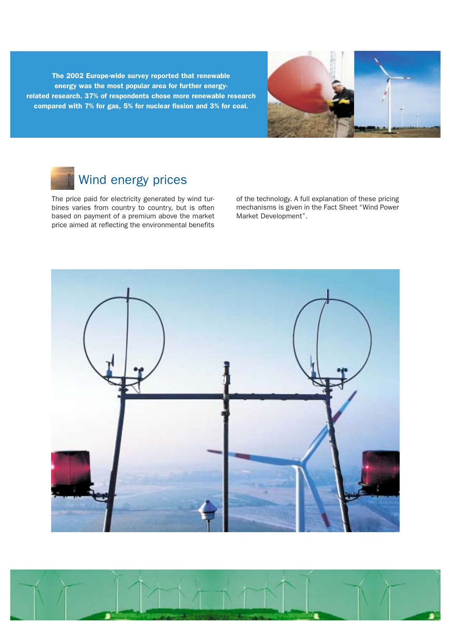The 2002 Europe-wide survey reported that renewable energy was the most popular area for further energyrelated research. 37% of respondents chose more renewable research compared with 7% for gas, 5% for nuclear fission and 3% for coal.



## Wind energy prices

The price paid for electricity generated by wind turbines varies from country to country, but is often based on payment of a premium above the market price aimed at reflecting the environmental benefits of the technology. A full explanation of these pricing mechanisms is given in the Fact Sheet "Wind Power Market Development".

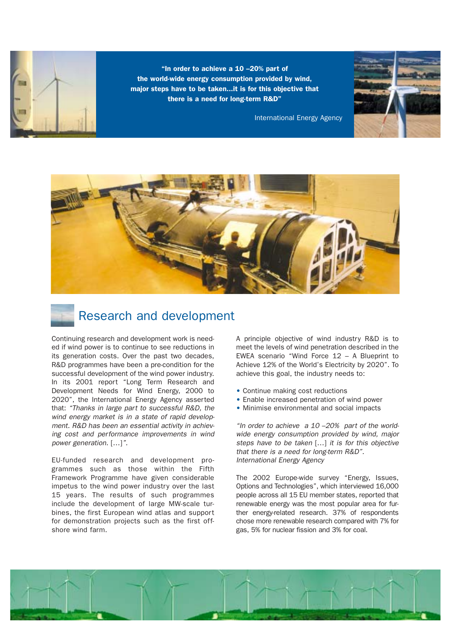"In order to achieve a 10 –20% part of the world-wide energy consumption provided by wind, major steps have to be taken...it is for this objective that there is a need for long-term R&D"



International Energy Agency





Continuing research and development work is needed if wind power is to continue to see reductions in its generation costs. Over the past two decades, R&D programmes have been a pre-condition for the successful development of the wind power industry. In its 2001 report "Long Term Research and Development Needs for Wind Energy, 2000 to 2020", the International Energy Agency asserted that: "Thanks in large part to successful R&D, the wind energy market is in a state of rapid development. R&D has been an essential activity in achieving cost and performance improvements in wind power generation. […]".

EU-funded research and development programmes such as those within the Fifth Framework Programme have given considerable impetus to the wind power industry over the last 15 years. The results of such programmes include the development of large MW-scale turbines, the first European wind atlas and support for demonstration projects such as the first offshore wind farm.

A principle objective of wind industry R&D is to meet the levels of wind penetration described in the EWEA scenario "Wind Force 12 – A Blueprint to Achieve 12% of the World's Electricity by 2020". To achieve this goal, the industry needs to:

- Continue making cost reductions
- Enable increased penetration of wind power
- Minimise environmental and social impacts

"In order to achieve  $a$  10 -20% part of the worldwide energy consumption provided by wind, major steps have to be taken […] it is for this objective that there is a need for long-term R&D". International Energy Agency

The 2002 Europe-wide survey "Energy, Issues, Options and Technologies", which interviewed 16,000 people across all 15 EU member states, reported that renewable energy was the most popular area for further energy-related research. 37% of respondents chose more renewable research compared with 7% for gas, 5% for nuclear fission and 3% for coal.

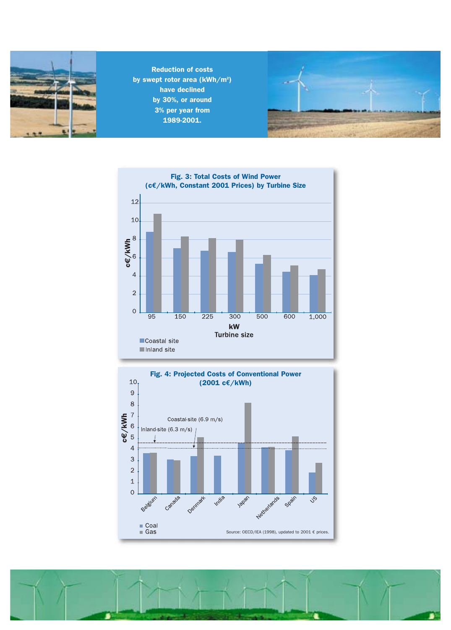

Reduction of costs by swept rotor area (kWh/m<sup>2</sup>) have declined by 30%, or around 3% per year from 1989-2001.